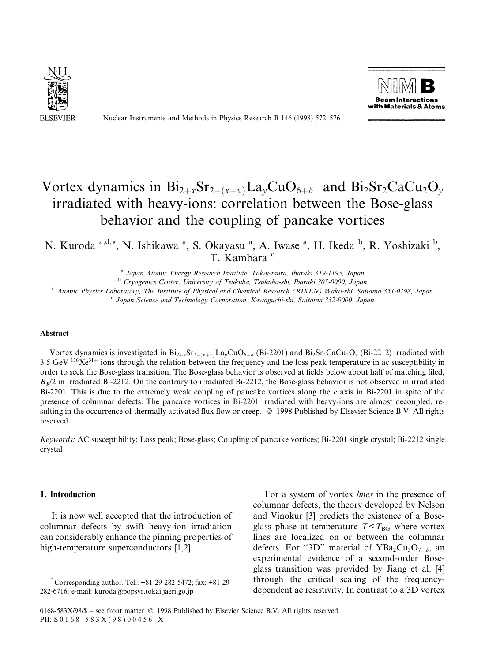

Nuclear Instruments and Methods in Physics Research B 146 (1998) 572-576



# Vortex dynamics in  $Bi_{2+x}Sr_{2-(x+v)}La_vCuO_{6+\delta}$  and  $Bi_2Sr_2CaCu_2O_v$ irradiated with heavy-ions: correlation between the Bose-glass behavior and the coupling of pancake vortices

N. Kuroda <sup>a,d,\*</sup>, N. Ishikawa <sup>a</sup>, S. Okayasu <sup>a</sup>, A. Iwase <sup>a</sup>, H. Ikeda <sup>b</sup>, R. Yoshizaki <sup>b</sup>, T. Kambara<sup>c</sup>

<sup>a</sup> Japan Atomic Energy Research Institute, Tokai-mura, Ibaraki 319-1195, Japan b Cryogenics Center, University of Tsukuba, Tsukuba-shi, Ibaraki 305-0000, Japan

<sup>c</sup> Atomic Physics Laboratory, The Institute of Physical and Chemical Research (RIKEN), Wako-shi, Saitama 351-0198, Japan d Japan Science and Technology Corporation, Kawaguchi-shi, Saitama 332-0000, Japan d Japan Science

### Abstract

Vortex dynamics is investigated in  $Bi_{2+x}Sr_{2-(x+y)}La_yCuO_{6+\delta}$  (Bi-2201) and  $Bi_2Sr_2CaCu_2O_y$  (Bi-2212) irradiated with 3.5 GeV  $136\text{Ke}^{31+}$  ions through the relation between the frequency and the loss peak temperature in ac susceptibility in order to seek the Bose-glass transition. The Bose-glass behavior is observed at fields below about half of matching filed,  $B_{\phi}/2$  in irradiated Bi-2212. On the contrary to irradiated Bi-2212, the Bose-glass behavior is not observed in irradiated Bi-2201. This is due to the extremely weak coupling of pancake vortices along the c axis in Bi-2201 in spite of the presence of columnar defects. The pancake vortices in Bi-2201 irradiated with heavy-ions are almost decoupled, resulting in the occurrence of thermally activated flux flow or creep.  $\odot$  1998 Published by Elsevier Science B.V. All rights reserved.

Keywords: AC susceptibility; Loss peak; Bose-glass; Coupling of pancake vortices; Bi-2201 single crystal; Bi-2212 single crystal

## 1. Introduction

It is now well accepted that the introduction of columnar defects by swift heavy-ion irradiation can considerably enhance the pinning properties of high-temperature superconductors [1,2].

For a system of vortex lines in the presence of columnar defects, the theory developed by Nelson and Vinokur [3] predicts the existence of a Boseglass phase at temperature  $T < T_{BG}$  where vortex lines are localized on or between the columnar defects. For "3D" material of YBa<sub>2</sub>Cu<sub>3</sub>O<sub>7- $\delta$ </sub>, an experimental evidence of a second-order Boseglass transition was provided by Jiang et al. [4] through the critical scaling of the frequencydependent ac resistivity. In contrast to a 3D vortex

<sup>\*</sup> Corresponding author. Tel.: +81-29-282-5472; fax: +81-29- 282-6716; e-mail: kuroda@popsvr.tokai.jaeri.go.jp

<sup>0168-583</sup>X/98/\$ - see front matter © 1998 Published by Elsevier Science B.V. All rights reserved. PII: S 0 1 6 8 - 5 8 3 X ( 9 8 ) 0 0 4 5 6 - X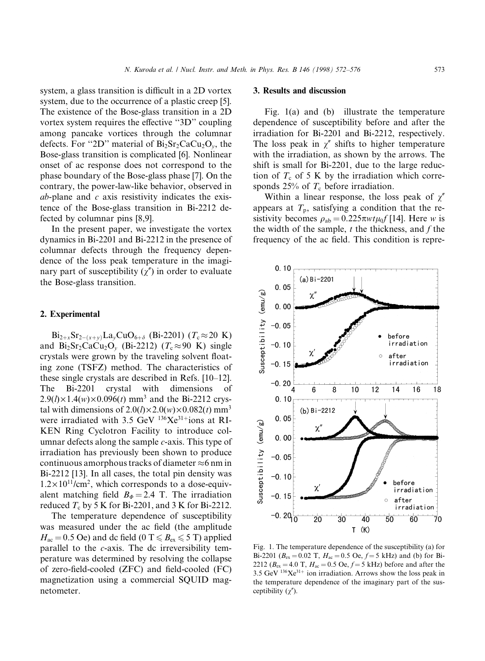system, a glass transition is difficult in a 2D vortex system, due to the occurrence of a plastic creep [5]. The existence of the Bose-glass transition in a 2D vortex system requires the effective "3D" coupling among pancake vortices through the columnar defects. For "2D" material of  $Bi<sub>2</sub>Sr<sub>2</sub>CaCu<sub>2</sub>O<sub>v</sub>$ , the Bose-glass transition is complicated [6]. Nonlinear onset of ac response does not correspond to the phase boundary of the Bose-glass phase [7]. On the contrary, the power-law-like behavior, observed in  $ab$ -plane and  $c$  axis resistivity indicates the existence of the Bose-glass transition in Bi-2212 defected by columnar pins [8,9].

In the present paper, we investigate the vortex dynamics in Bi-2201 and Bi-2212 in the presence of columnar defects through the frequency dependence of the loss peak temperature in the imaginary part of susceptibility  $(\chi'')$  in order to evaluate the Bose-glass transition.

#### 2. Experimental

 $Bi_{2+x}Sr_{2-(x+y)}La_yCuO_{6+\delta}$  (Bi-2201) ( $T_c \approx 20 \text{ K}$ ) and  $Bi_2Sr_2CaCu_2O_v$  (Bi-2212) ( $T_c \approx 90$  K) single crystals were grown by the traveling solvent floating zone (TSFZ) method. The characteristics of these single crystals are described in Refs.  $[10-12]$ . The Bi-2201 crystal with dimensions of  $2.9(l) \times 1.4(w) \times 0.096(t)$  mm<sup>3</sup> and the Bi-2212 crystal with dimensions of  $2.0(l) \times 2.0(w) \times 0.082(t)$  mm<sup>3</sup> were irradiated with 3.5 GeV  $^{136}Xe^{31+}$ ions at RI-KEN Ring Cyclotron Facility to introduce columnar defects along the sample  $c$ -axis. This type of irradiation has previously been shown to produce continuous amorphous tracks of diameter  $\approx$  6 nm in Bi-2212 [13]. In all cases, the total pin density was  $1.2 \times 10^{11}$ /cm<sup>2</sup>, which corresponds to a dose-equivalent matching field  $B_{\phi} = 2.4$  T. The irradiation reduced  $T_c$  by 5 K for Bi-2201, and 3 K for Bi-2212.

The temperature dependence of susceptibility was measured under the ac field (the amplitude  $H_{ac} = 0.5$  Oe) and dc field (0 T  $\leq B_{ex} \leq 5$  T) applied parallel to the c-axis. The dc irreversibility temperature was determined by resolving the collapse of zero-field-cooled  $(ZFC)$  and field-cooled  $(FC)$ magnetization using a commercial SQUID magnetometer.

## 3. Results and discussion

Fig. 1(a) and (b) illustrate the temperature dependence of susceptibility before and after the irradiation for Bi-2201 and Bi-2212, respectively. The loss peak in  $\chi''$  shifts to higher temperature with the irradiation, as shown by the arrows. The shift is small for Bi-2201, due to the large reduction of  $T_c$  of 5 K by the irradiation which corresponds 25% of  $T_c$  before irradiation.

Within a linear response, the loss peak of  $\chi''$ appears at  $T_p$ , satisfying a condition that the resistivity becomes  $\rho_{ab} = 0.225 \pi w t \mu_0 f$  [14]. Here w is the width of the sample,  $t$  the thickness, and  $f$  the frequency of the ac field. This condition is repre-



Fig. 1. The temperature dependence of the susceptibility (a) for Bi-2201 ( $B_{ex} = 0.02$  T,  $H_{ac} = 0.5$  Oe,  $f = 5$  kHz) and (b) for Bi-2212 ( $B_{\text{ex}} = 4.0 \text{ T}$ ,  $H_{\text{ac}} = 0.5 \text{ Oe}$ ,  $f = 5 \text{ kHz}$ ) before and after the 3.5 GeV  $^{136}Xe^{31+}$  ion irradiation. Arrows show the loss peak in the temperature dependence of the imaginary part of the susceptibility  $(\gamma'')$ .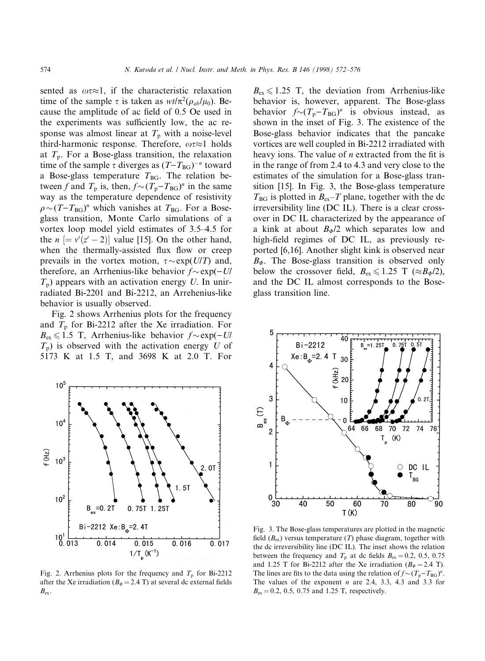sented as  $\omega \tau \approx 1$ , if the characteristic relaxation time of the sample  $\tau$  is taken as  $wt/\pi^2(\rho_{ab}/\mu_0)$ . Because the amplitude of ac field of 0.5 Oe used in the experiments was sufficiently low, the ac response was almost linear at  $T_p$  with a noise-level third-harmonic response. Therefore,  $\omega \tau \approx 1$  holds at  $T_p$ . For a Bose-glass transition, the relaxation time of the sample  $\tau$  diverges as  $(T - T_{BG})^{-n}$  toward a Bose-glass temperature  $T_{BG}$ . The relation between f and  $T_p$  is, then,  $f \sim (T_p - T_{BG})^n$  in the same way as the temperature dependence of resistivity  $\rho \sim (T - T_{BG})^n$  which vanishes at  $T_{BG}$ . For a Boseglass transition, Monte Carlo simulations of a vortex loop model yield estimates of 3.5–4.5 for the  $n \equiv v'(z'-2)$  value [15]. On the other hand, when the thermally-assisted flux flow or creep prevails in the vortex motion,  $\tau \sim \exp(U/T)$  and, therefore, an Arrhenius-like behavior  $f \sim \exp(-U/\sqrt{U})$  $T_p$ ) appears with an activation energy U. In unirradiated Bi-2201 and Bi-2212, an Arrehenius-like behavior is usually observed.

Fig. 2 shows Arrhenius plots for the frequency and  $T_p$  for Bi-2212 after the Xe irradiation. For  $B_{\text{ex}} \leq 1.5$  T, Arrhenius-like behavior  $f \sim \exp(-U/\sqrt{U})$  $T_p$ ) is observed with the activation energy U of 5173 K at 1.5 T, and 3698 K at 2.0 T. For



Fig. 2. Arrhenius plots for the frequency and  $T_p$  for Bi-2212 after the Xe irradiation ( $B_{\phi} = 2.4$  T) at several dc external fields  $B_{\rm ex}$ .

 $B_{\text{ex}} \leq 1.25$  T, the deviation from Arrhenius-like behavior is, however, apparent. The Bose-glass behavior  $f \sim (T_p - T_{BG})^n$  is obvious instead, as shown in the inset of Fig. 3. The existence of the Bose-glass behavior indicates that the pancake vortices are well coupled in Bi-2212 irradiated with heavy ions. The value of  $n$  extracted from the fit is in the range of from 2.4 to 4.3 and very close to the estimates of the simulation for a Bose-glass transition [15]. In Fig. 3, the Bose-glass temperature  $T_{BG}$  is plotted in  $B_{ex}-T$  plane, together with the dc irreversibility line (DC IL). There is a clear crossover in DC IL characterized by the appearance of a kink at about  $B_{\phi}/2$  which separates low and high-field regimes of DC IL, as previously reported [6,16]. Another slight kink is observed near  $B_{\Phi}$ . The Bose-glass transition is observed only below the crossover field,  $B_{ex} \le 1.25$  T ( $\approx B_{\phi}/2$ ), and the DC IL almost corresponds to the Boseglass transition line.



Fig. 3. The Bose-glass temperatures are plotted in the magnetic field  $(B_{ex})$  versus temperature (T) phase diagram, together with the dc irreversibility line (DC IL). The inset shows the relation between the frequency and  $T<sub>p</sub>$  at dc fields  $B<sub>ex</sub> = 0.2, 0.5, 0.75$ and 1.25 T for Bi-2212 after the Xe irradiation ( $B_{\phi} = 2.4$  T). The lines are fits to the data using the relation of  $f \sim (T_p - T_{BG})^n$ . The values of the exponent  $n$  are 2.4, 3.3, 4.3 and 3.3 for  $B_{\rm ex} = 0.2, 0.5, 0.75$  and 1.25 T, respectively.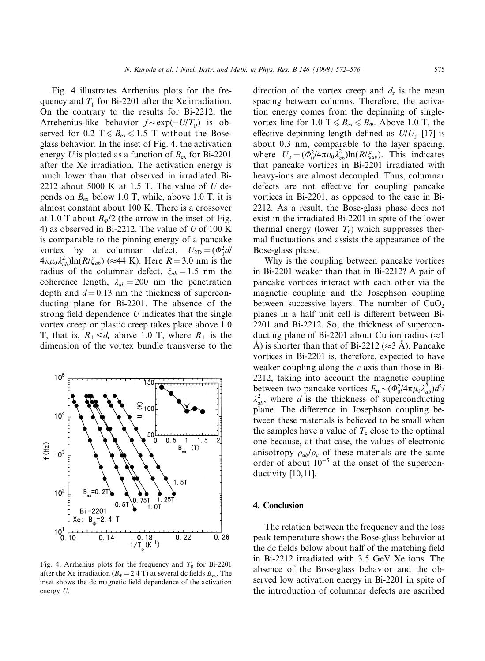Fig. 4 illustrates Arrhenius plots for the frequency and  $T<sub>p</sub>$  for Bi-2201 after the Xe irradiation. On the contrary to the results for Bi-2212, the Arrehenius-like behavior  $f \sim \exp(-U/T_p)$  is observed for 0.2 T  $\leq B_{ex} \leq 1.5$  T without the Boseglass behavior. In the inset of Fig. 4, the activation energy U is plotted as a function of  $B_{ex}$  for Bi-2201 after the Xe irradiation. The activation energy is much lower than that observed in irradiated Bi-2212 about 5000 K at 1.5 T. The value of U depends on  $B_{\text{ex}}$  below 1.0 T, while, above 1.0 T, it is almost constant about 100 K. There is a crossover at 1.0 T about  $B_{\Phi}/2$  (the arrow in the inset of Fig. 4) as observed in Bi-2212. The value of  $U$  of 100 K is comparable to the pinning energy of a pancake vortex by a columnar defect,  $U_{2D} = (\Phi_0^2 dl)$  $4\pi\mu_0\lambda_{ab}^2$ )ln( $R/\xi_{ab}$ ) ( $\approx$ 44 K). Here  $R = 3.0$  nm is the radius of the columnar defect,  $\xi_{ab} = 1.5$  nm the coherence length,  $\lambda_{ab} = 200$  nm the penetration depth and  $d = 0.13$  nm the thickness of superconducting plane for Bi-2201. The absence of the strong field dependence  $U$  indicates that the single vortex creep or plastic creep takes place above 1.0 T, that is,  $R_{\perp} < d_r$  above 1.0 T, where  $R_{\perp}$  is the dimension of the vortex bundle transverse to the



Fig. 4. Arrhenius plots for the frequency and  $T_p$  for Bi-2201 after the Xe irradiation ( $B_{\phi} = 2.4$  T) at several dc fields  $B_{ex}$ . The inset shows the dc magnetic field dependence of the activation energy U.

direction of the vortex creep and  $d_r$  is the mean spacing between columns. Therefore, the activation energy comes from the depinning of singlevortex line for 1.0 T  $\leq B_{ex} \leq B_{\phi}$ . Above 1.0 T, the effective depinning length defined as  $U/U_p$  [17] is about 0.3 nm, comparable to the layer spacing, where  $U_p = (\Phi_0^2/4\pi\mu_0\lambda_{ab}^2) \ln(R/\xi_{ab})$ . This indicates that pancake vortices in Bi-2201 irradiated with heavy-ions are almost decoupled. Thus, columnar defects are not effective for coupling pancake vortices in Bi-2201, as opposed to the case in Bi-2212. As a result, the Bose-glass phase does not exist in the irradiated Bi-2201 in spite of the lower thermal energy (lower  $T_c$ ) which suppresses thermal fluctuations and assists the appearance of the Bose-glass phase.

Why is the coupling between pancake vortices in Bi-2201 weaker than that in Bi-2212? A pair of pancake vortices interact with each other via the magnetic coupling and the Josephson coupling between successive layers. The number of  $CuO<sub>2</sub>$ planes in a half unit cell is different between Bi-2201 and Bi-2212. So, the thickness of superconducting plane of Bi-2201 about Cu ion radius ( $\approx$ 1  $\overrightarrow{A}$ ) is shorter than that of Bi-2212 ( $\approx$ 3  $\overrightarrow{A}$ ). Pancake vortices in Bi-2201 is, therefore, expected to have weaker coupling along the  $c$  axis than those in Bi-2212, taking into account the magnetic coupling between two pancake vortices  $E_m \sim (\Phi_0^2/4\pi\mu_0\lambda_{ab}^2)d^2/$  $\lambda_{ab}^2$ , where d is the thickness of superconducting plane. The difference in Josephson coupling between these materials is believed to be small when the samples have a value of  $T_c$  close to the optimal one because, at that case, the values of electronic anisotropy  $\rho_{ab}/\rho_c$  of these materials are the same order of about  $10^{-5}$  at the onset of the superconductivity [10,11].

## 4. Conclusion

The relation between the frequency and the loss peak temperature shows the Bose-glass behavior at the dc fields below about half of the matching field in Bi-2212 irradiated with 3.5 GeV Xe ions. The absence of the Bose-glass behavior and the observed low activation energy in Bi-2201 in spite of the introduction of columnar defects are ascribed